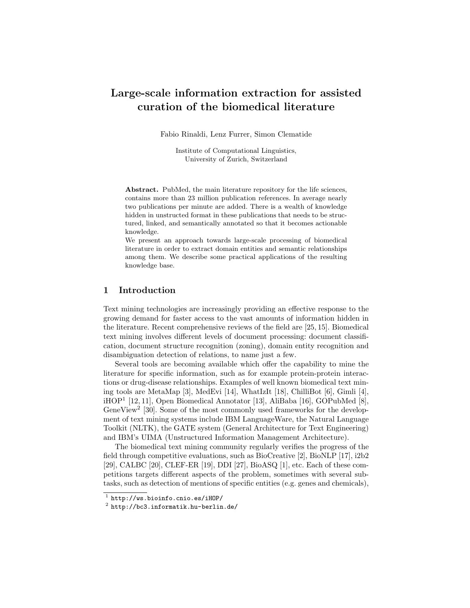# Large-scale information extraction for assisted curation of the biomedical literature

Fabio Rinaldi, Lenz Furrer, Simon Clematide

Institute of Computational Linguistics, University of Zurich, Switzerland

Abstract. PubMed, the main literature repository for the life sciences, contains more than 23 million publication references. In average nearly two publications per minute are added. There is a wealth of knowledge hidden in unstructed format in these publications that needs to be structured, linked, and semantically annotated so that it becomes actionable knowledge.

We present an approach towards large-scale processing of biomedical literature in order to extract domain entities and semantic relationships among them. We describe some practical applications of the resulting knowledge base.

# 1 Introduction

Text mining technologies are increasingly providing an effective response to the growing demand for faster access to the vast amounts of information hidden in the literature. Recent comprehensive reviews of the field are [25, 15]. Biomedical text mining involves different levels of document processing: document classification, document structure recognition (zoning), domain entity recognition and disambiguation detection of relations, to name just a few.

Several tools are becoming available which offer the capability to mine the literature for specific information, such as for example protein-protein interactions or drug-disease relationships. Examples of well known biomedical text mining tools are MetaMap [3], MedEvi [14], WhatIzIt [18], ChilliBot [6], Gimli [4],  $i\text{HOP}^1$  [12, 11], Open Biomedical Annotator [13], AliBaba [16], GOPubMed [8], GeneView<sup>2</sup> [30]. Some of the most commonly used frameworks for the development of text mining systems include IBM LanguageWare, the Natural Language Toolkit (NLTK), the GATE system (General Architecture for Text Engineering) and IBM's UIMA (Unstructured Information Management Architecture).

The biomedical text mining community regularly verifies the progress of the field through competitive evaluations, such as BioCreative [2], BioNLP [17], i2b2 [29], CALBC [20], CLEF-ER [19], DDI [27], BioASQ [1], etc. Each of these competitions targets different aspects of the problem, sometimes with several subtasks, such as detection of mentions of specific entities (e.g. genes and chemicals),

 $^{\rm 1}$  http://ws.bioinfo.cnio.es/iHOP/

 $^2$  http://bc3.informatik.hu-berlin.de/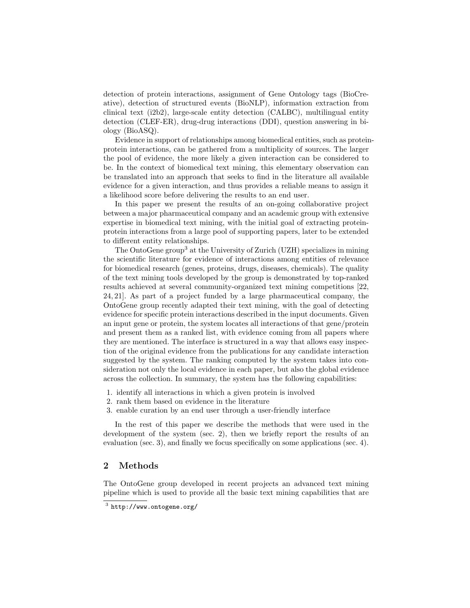detection of protein interactions, assignment of Gene Ontology tags (BioCreative), detection of structured events (BioNLP), information extraction from clinical text (i2b2), large-scale entity detection (CALBC), multilingual entity detection (CLEF-ER), drug-drug interactions (DDI), question answering in biology (BioASQ).

Evidence in support of relationships among biomedical entities, such as proteinprotein interactions, can be gathered from a multiplicity of sources. The larger the pool of evidence, the more likely a given interaction can be considered to be. In the context of biomedical text mining, this elementary observation can be translated into an approach that seeks to find in the literature all available evidence for a given interaction, and thus provides a reliable means to assign it a likelihood score before delivering the results to an end user.

In this paper we present the results of an on-going collaborative project between a major pharmaceutical company and an academic group with extensive expertise in biomedical text mining, with the initial goal of extracting proteinprotein interactions from a large pool of supporting papers, later to be extended to different entity relationships.

The OntoGene group<sup>3</sup> at the University of Zurich (UZH) specializes in mining the scientific literature for evidence of interactions among entities of relevance for biomedical research (genes, proteins, drugs, diseases, chemicals). The quality of the text mining tools developed by the group is demonstrated by top-ranked results achieved at several community-organized text mining competitions [22, 24, 21]. As part of a project funded by a large pharmaceutical company, the OntoGene group recently adapted their text mining, with the goal of detecting evidence for specific protein interactions described in the input documents. Given an input gene or protein, the system locates all interactions of that gene/protein and present them as a ranked list, with evidence coming from all papers where they are mentioned. The interface is structured in a way that allows easy inspection of the original evidence from the publications for any candidate interaction suggested by the system. The ranking computed by the system takes into consideration not only the local evidence in each paper, but also the global evidence across the collection. In summary, the system has the following capabilities:

- 1. identify all interactions in which a given protein is involved
- 2. rank them based on evidence in the literature
- 3. enable curation by an end user through a user-friendly interface

In the rest of this paper we describe the methods that were used in the development of the system (sec. 2), then we briefly report the results of an evaluation (sec. 3), and finally we focus specifically on some applications (sec. 4).

## 2 Methods

The OntoGene group developed in recent projects an advanced text mining pipeline which is used to provide all the basic text mining capabilities that are

 $^3$  http://www.ontogene.org/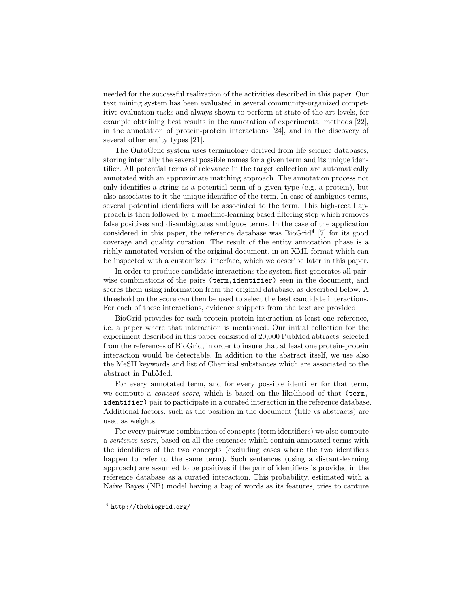needed for the successful realization of the activities described in this paper. Our text mining system has been evaluated in several community-organized competitive evaluation tasks and always shown to perform at state-of-the-art levels, for example obtaining best results in the annotation of experimental methods [22], in the annotation of protein-protein interactions [24], and in the discovery of several other entity types [21].

The OntoGene system uses terminology derived from life science databases, storing internally the several possible names for a given term and its unique identifier. All potential terms of relevance in the target collection are automatically annotated with an approximate matching approach. The annotation process not only identifies a string as a potential term of a given type (e.g. a protein), but also associates to it the unique identifier of the term. In case of ambiguos terms, several potential identifiers will be associated to the term. This high-recall approach is then followed by a machine-learning based filtering step which removes false positives and disambiguates ambiguos terms. In the case of the application considered in this paper, the reference database was BioGrid<sup>4</sup> [7] for its good coverage and quality curation. The result of the entity annotation phase is a richly annotated version of the original document, in an XML format which can be inspected with a customized interface, which we describe later in this paper.

In order to produce candidate interactions the system first generates all pairwise combinations of the pairs (term, identifier) seen in the document, and scores them using information from the original database, as described below. A threshold on the score can then be used to select the best candidate interactions. For each of these interactions, evidence snippets from the text are provided.

BioGrid provides for each protein-protein interaction at least one reference, i.e. a paper where that interaction is mentioned. Our initial collection for the experiment described in this paper consisted of 20,000 PubMed abtracts, selected from the references of BioGrid, in order to insure that at least one protein-protein interaction would be detectable. In addition to the abstract itself, we use also the MeSH keywords and list of Chemical substances which are associated to the abstract in PubMed.

For every annotated term, and for every possible identifier for that term, we compute a concept score, which is based on the likelihood of that (term, identifier) pair to participate in a curated interaction in the reference database. Additional factors, such as the position in the document (title vs abstracts) are used as weights.

For every pairwise combination of concepts (term identifiers) we also compute a sentence score, based on all the sentences which contain annotated terms with the identifiers of the two concepts (excluding cases where the two identifiers happen to refer to the same term). Such sentences (using a distant-learning approach) are assumed to be positives if the pair of identifiers is provided in the reference database as a curated interaction. This probability, estimated with a Naïve Bayes (NB) model having a bag of words as its features, tries to capture

 $^4$  http://thebiogrid.org/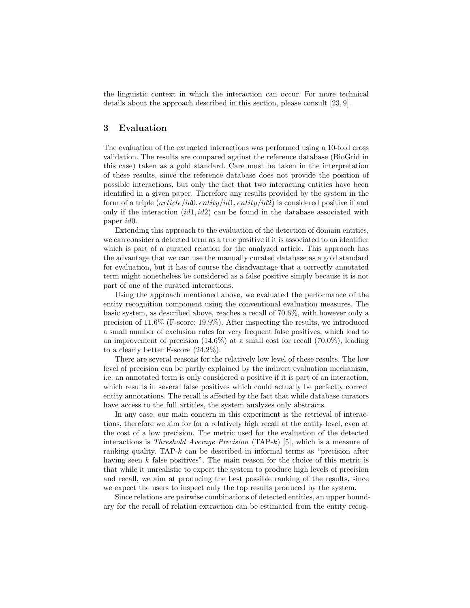the linguistic context in which the interaction can occur. For more technical details about the approach described in this section, please consult [23, 9].

## 3 Evaluation

The evaluation of the extracted interactions was performed using a 10-fold cross validation. The results are compared against the reference database (BioGrid in this case) taken as a gold standard. Care must be taken in the interpretation of these results, since the reference database does not provide the position of possible interactions, but only the fact that two interacting entities have been identified in a given paper. Therefore any results provided by the system in the form of a triple  $(\text{article}/id0, \text{entity}/id1, \text{entity}/id2)$  is considered positive if and only if the interaction  $(id1, id2)$  can be found in the database associated with paper id0.

Extending this approach to the evaluation of the detection of domain entities, we can consider a detected term as a true positive if it is associated to an identifier which is part of a curated relation for the analyzed article. This approach has the advantage that we can use the manually curated database as a gold standard for evaluation, but it has of course the disadvantage that a correctly annotated term might nonetheless be considered as a false positive simply because it is not part of one of the curated interactions.

Using the approach mentioned above, we evaluated the performance of the entity recognition component using the conventional evaluation measures. The basic system, as described above, reaches a recall of 70.6%, with however only a precision of 11.6% (F-score: 19.9%). After inspecting the results, we introduced a small number of exclusion rules for very frequent false positives, which lead to an improvement of precision  $(14.6\%)$  at a small cost for recall  $(70.0\%)$ , leading to a clearly better F-score (24.2%).

There are several reasons for the relatively low level of these results. The low level of precision can be partly explained by the indirect evaluation mechanism, i.e. an annotated term is only considered a positive if it is part of an interaction, which results in several false positives which could actually be perfectly correct entity annotations. The recall is affected by the fact that while database curators have access to the full articles, the system analyzes only abstracts.

In any case, our main concern in this experiment is the retrieval of interactions, therefore we aim for for a relatively high recall at the entity level, even at the cost of a low precision. The metric used for the evaluation of the detected interactions is *Threshold Average Precision* (TAP- $k$ ) [5], which is a measure of ranking quality. TAP- $k$  can be described in informal terms as "precision after having seen  $k$  false positives". The main reason for the choice of this metric is that while it unrealistic to expect the system to produce high levels of precision and recall, we aim at producing the best possible ranking of the results, since we expect the users to inspect only the top results produced by the system.

Since relations are pairwise combinations of detected entities, an upper boundary for the recall of relation extraction can be estimated from the entity recog-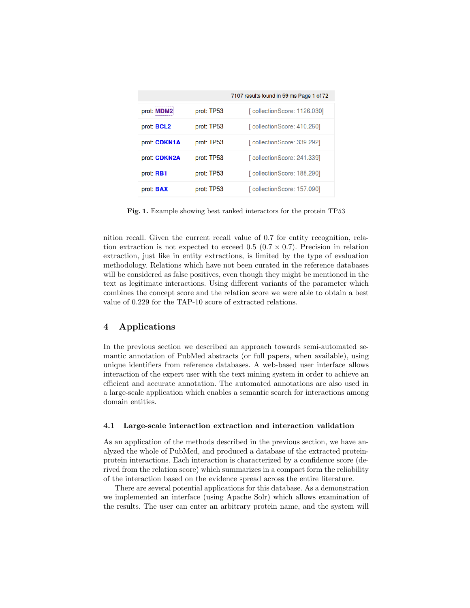|                     |            | 7107 results found in 59 ms Page 1 of 72 |  |  |  |  |
|---------------------|------------|------------------------------------------|--|--|--|--|
| prot: MDM2          | prot: TP53 | [collectionScore: 1126.030]              |  |  |  |  |
| prot: BCL2          | prot: TP53 | [collectionScore: 410.260]               |  |  |  |  |
| prot: <b>CDKN1A</b> | prot: TP53 | [collectionScore: 339.292]               |  |  |  |  |
| prot: CDKN2A        | prot: TP53 | [collectionScore: 241.339]               |  |  |  |  |
| prot: RB1           | prot: TP53 | [ collectionScore: 188.290]              |  |  |  |  |
| prot: <b>BAX</b>    | prot: TP53 | [collectionScore: 157.090]               |  |  |  |  |

Fig. 1. Example showing best ranked interactors for the protein TP53

nition recall. Given the current recall value of 0.7 for entity recognition, relation extraction is not expected to exceed 0.5 ( $(0.7 \times 0.7)$ ). Precision in relation extraction, just like in entity extractions, is limited by the type of evaluation methodology. Relations which have not been curated in the reference databases will be considered as false positives, even though they might be mentioned in the text as legitimate interactions. Using different variants of the parameter which combines the concept score and the relation score we were able to obtain a best value of 0.229 for the TAP-10 score of extracted relations.

## 4 Applications

In the previous section we described an approach towards semi-automated semantic annotation of PubMed abstracts (or full papers, when available), using unique identifiers from reference databases. A web-based user interface allows interaction of the expert user with the text mining system in order to achieve an efficient and accurate annotation. The automated annotations are also used in a large-scale application which enables a semantic search for interactions among domain entities.

#### 4.1 Large-scale interaction extraction and interaction validation

As an application of the methods described in the previous section, we have analyzed the whole of PubMed, and produced a database of the extracted proteinprotein interactions. Each interaction is characterized by a confidence score (derived from the relation score) which summarizes in a compact form the reliability of the interaction based on the evidence spread across the entire literature.

There are several potential applications for this database. As a demonstration we implemented an interface (using Apache Solr) which allows examination of the results. The user can enter an arbitrary protein name, and the system will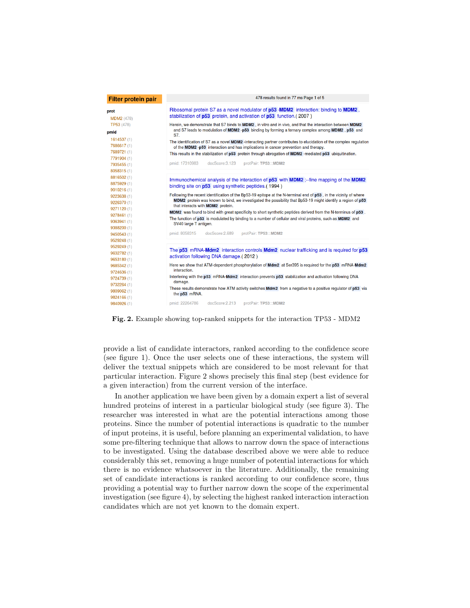| <b>Filter protein pair</b> | 478 results found in 77 ms Page 1 of 5                                                                                                                                                                        |
|----------------------------|---------------------------------------------------------------------------------------------------------------------------------------------------------------------------------------------------------------|
| prot                       | Ribosomal protein S7 as a novel modulator of p53 -MDM2 interaction: binding to MDM2,                                                                                                                          |
| <b>MDM2</b> (478)          | stabilization of p53 protein, and activation of p53 function. (2007)                                                                                                                                          |
| TP53 (478)                 | Herein, we demonstrate that S7 binds to MDM2, in vitro and in vivo, and that the interaction between MDM2<br>and S7 leads to modulation of MDM2 -p53 binding by forming a ternary complex among MDM2, p53 and |
| pmid                       | S7.                                                                                                                                                                                                           |
| 1614537(1)<br>7686617 (1)  | The identification of S7 as a novel MDM2 -interacting partner contributes to elucidation of the complex regulation<br>of the MDM2 -p53 interaction and has implications in cancer prevention and therapy.     |
| 7689721 (1)                | This results in the stabilization of p53 protein through abrogation of MDM2 -mediated p53 ubiquitination.                                                                                                     |
| 7791904 (1)                |                                                                                                                                                                                                               |
| 7935455 (1)                | docScore: 3.123<br>pmid: 17310983<br>protPair: TP53:::MDM2                                                                                                                                                    |
| 8058315 (1)                |                                                                                                                                                                                                               |
| 8816502 (1)                | Immunochemical analysis of the interaction of p53 with MDM2 ;-- fine mapping of the MDM2                                                                                                                      |
| 8875929 (1)                | binding site on <b>p53</b> using synthetic peptides. (1994)                                                                                                                                                   |
| 9010216(1)                 |                                                                                                                                                                                                               |
| 9223638 (1)                | Following the recent identification of the Bp53-19 epitope at the N-terminal end of p53, in the vicinity of where                                                                                             |
| 9226370 (1)                | MDM2 protein was known to bind, we investigated the possibility that Bp53-19 might identify a region of p53                                                                                                   |
| 9271120 (1)                | that interacts with MDM2 protein.                                                                                                                                                                             |
| 9278461 (1)                | MDM2 was found to bind with great specificity to short synthetic peptides derived from the N-terminus of p53.                                                                                                 |
| 9363941 (1)                | The function of p53 is modulated by binding to a number of cellular and viral proteins, such as MDM2 and<br>SV40 large T antigen.                                                                             |
| 9388200 (1)                |                                                                                                                                                                                                               |
| 9450543 (1)                | pmid: 8058315<br>docScore: 2.689<br>protPair: TP53:::MDM2                                                                                                                                                     |
| 9529248 (1)                |                                                                                                                                                                                                               |
| 9529249 (1)                |                                                                                                                                                                                                               |
| 9632782 (1)                | The p53 mRNA-Mdm2 interaction controls Mdm2 nuclear trafficking and is required for p53                                                                                                                       |
| 9653180 (1)                | activation following DNA damage.(2012)                                                                                                                                                                        |
| 9685342 (1)                | Here we show that ATM-dependent phosphorylation of Mdm2 at Ser395 is required for the p53 mRNA-Mdm2                                                                                                           |
| 9724636 (1)                | interaction.                                                                                                                                                                                                  |
| 9724739 (1)                | Interfering with the p53 mRNA-Mdm2 interaction prevents p53 stabilization and activation following DNA                                                                                                        |
| 9732264 (1)                | damage.                                                                                                                                                                                                       |
| 9809062 (1)                | These results demonstrate how ATM activity switches Mdm2 from a negative to a positive regulator of p53 via                                                                                                   |
| 9824166 (1)                | the p53 mRNA.                                                                                                                                                                                                 |
| 9840926 (1)                | pmid: 22264786<br>docScore: 2.213<br>protPair: TP53:::MDM2                                                                                                                                                    |

Fig. 2. Example showing top-ranked snippets for the interaction TP53 - MDM2

provide a list of candidate interactors, ranked according to the confidence score (see figure 1). Once the user selects one of these interactions, the system will deliver the textual snippets which are considered to be most relevant for that particular interaction. Figure 2 shows precisely this final step (best evidence for a given interaction) from the current version of the interface.

In another application we have been given by a domain expert a list of several hundred proteins of interest in a particular biological study (see figure 3). The researcher was interested in what are the potential interactions among those proteins. Since the number of potential interactions is quadratic to the number of input proteins, it is useful, before planning an experimental validation, to have some pre-filtering technique that allows to narrow down the space of interactions to be investigated. Using the database described above we were able to reduce considerably this set, removing a huge number of potential interactions for which there is no evidence whatsoever in the literature. Additionally, the remaining set of candidate interactions is ranked according to our confidence score, thus providing a potential way to further narrow down the scope of the experimental investigation (see figure 4), by selecting the highest ranked interaction interaction candidates which are not yet known to the domain expert.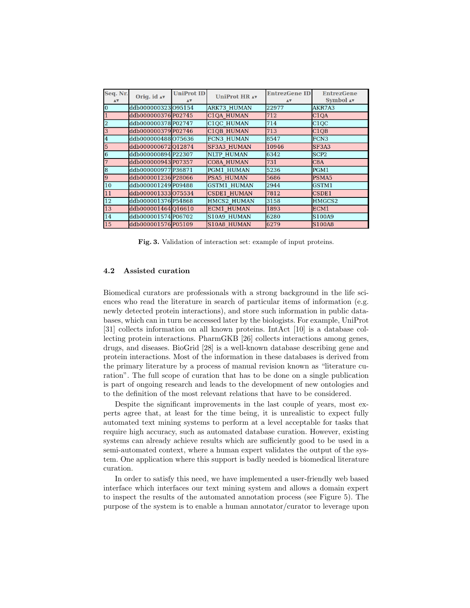| Seq. Nr.<br>AV          | Orig. id Av                | <b>UniProt ID</b><br>AV | UniProt HR AV      | <b>EntrezGene ID</b><br>AV | <b>EntrezGene</b><br>Symbol Av |
|-------------------------|----------------------------|-------------------------|--------------------|----------------------------|--------------------------------|
| $\overline{0}$          | ddb000000323 <b>095154</b> |                         | <b>ARK73 HUMAN</b> | 22977<br>AKR7A3            |                                |
| $\overline{1}$          | ddb000000376P02745         |                         | <b>C1QA HUMAN</b>  | 712                        | C1QA                           |
| $\overline{2}$          | ddb000000378P02747         |                         | C1QC HUMAN         | 714                        | C1QC                           |
| $\overline{3}$          | ddb000000379P02746         |                         | <b>C1OB HUMAN</b>  | 713                        | C1QB                           |
| $\overline{4}$          | ddb000000488O75636         |                         | <b>FCN3 HUMAN</b>  | 8547                       | FCN <sub>3</sub>               |
| $\overline{5}$          | ddb000000672012874         |                         | <b>SF3A3 HUMAN</b> | 10946                      | SF3A3                          |
| $\overline{6}$          | ddb000000894P22307         |                         | <b>NLTP HUMAN</b>  | 6342                       | SCP <sub>2</sub>               |
| 7                       | ddb000000943P07357         |                         | <b>CO8A HUMAN</b>  | 731                        | C8A                            |
| $\overline{\mathbf{8}}$ | ddb000000977 P36871        |                         | PGM1 HUMAN         | 5236                       | PGM1                           |
| $\overline{9}$          | ddb000001236P28066         |                         | <b>PSA5 HUMAN</b>  | 5686                       | PSMA5                          |
| 10                      | ddb000001249 P09488        |                         | <b>GSTM1 HUMAN</b> | 2944                       | GSTM1                          |
| 11                      | ddb000001333075534         |                         | CSDE1 HUMAN        | 7812                       | CSDE1                          |
| 12                      | ddb000001376P54868         |                         | HMCS2 HUMAN        | 3158                       | HMGCS2                         |
| 13                      | ddb000001464Q16610         |                         | <b>ECM1 HUMAN</b>  | 1893                       | ECM1                           |
| 14                      | ddb000001574 P06702        |                         | S10A9 HUMAN        | 6280                       | S100A9                         |
| 15                      | ddb000001576P05109         |                         | <b>S10A8 HUMAN</b> | 6279                       | <b>S100A8</b>                  |

Fig. 3. Validation of interaction set: example of input proteins.

#### 4.2 Assisted curation

Biomedical curators are professionals with a strong background in the life sciences who read the literature in search of particular items of information (e.g. newly detected protein interactions), and store such information in public databases, which can in turn be accessed later by the biologists. For example, UniProt [31] collects information on all known proteins. IntAct [10] is a database collecting protein interactions. PharmGKB [26] collects interactions among genes, drugs, and diseases. BioGrid [28] is a well-known database describing gene and protein interactions. Most of the information in these databases is derived from the primary literature by a process of manual revision known as "literature curation". The full scope of curation that has to be done on a single publication is part of ongoing research and leads to the development of new ontologies and to the definition of the most relevant relations that have to be considered.

Despite the significant improvements in the last couple of years, most experts agree that, at least for the time being, it is unrealistic to expect fully automated text mining systems to perform at a level acceptable for tasks that require high accuracy, such as automated database curation. However, existing systems can already achieve results which are sufficiently good to be used in a semi-automated context, where a human expert validates the output of the system. One application where this support is badly needed is biomedical literature curation.

In order to satisfy this need, we have implemented a user-friendly web based interface which interfaces our text mining system and allows a domain expert to inspect the results of the automated annotation process (see Figure 5). The purpose of the system is to enable a human annotator/curator to leverage upon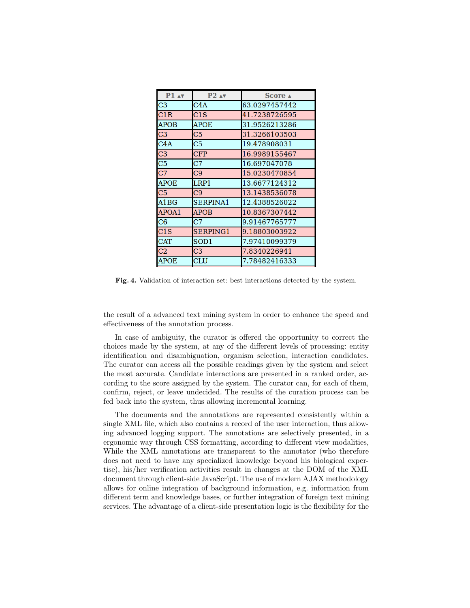| $P2 \land v$     | Score A       |  |  |  |  |
|------------------|---------------|--|--|--|--|
| C4A              | 63.0297457442 |  |  |  |  |
| C <sub>1</sub> S | 41.7238726595 |  |  |  |  |
| <b>APOE</b>      | 31.9526213286 |  |  |  |  |
| C5               | 31.3266103503 |  |  |  |  |
| C5               | 19.478908031  |  |  |  |  |
| <b>CFP</b>       | 16.9989155467 |  |  |  |  |
| C7               | 16.697047078  |  |  |  |  |
| C <sub>9</sub>   | 15.0230470854 |  |  |  |  |
| LRP1             | 13.6677124312 |  |  |  |  |
| C9               | 13.1438536078 |  |  |  |  |
| <b>SERPINA1</b>  | 12.4388526022 |  |  |  |  |
| <b>APOB</b>      | 10.8367307442 |  |  |  |  |
| C7               | 9.91467765777 |  |  |  |  |
| SERPING1         | 9.18803003922 |  |  |  |  |
| SOD <sub>1</sub> | 7.97410099379 |  |  |  |  |
| C <sub>3</sub>   | 7.8340226941  |  |  |  |  |
| <b>CLU</b>       | 7.78482416333 |  |  |  |  |
|                  |               |  |  |  |  |

Fig. 4. Validation of interaction set: best interactions detected by the system.

the result of a advanced text mining system in order to enhance the speed and effectiveness of the annotation process.

In case of ambiguity, the curator is offered the opportunity to correct the choices made by the system, at any of the different levels of processing: entity identification and disambiguation, organism selection, interaction candidates. The curator can access all the possible readings given by the system and select the most accurate. Candidate interactions are presented in a ranked order, according to the score assigned by the system. The curator can, for each of them, confirm, reject, or leave undecided. The results of the curation process can be fed back into the system, thus allowing incremental learning.

The documents and the annotations are represented consistently within a single XML file, which also contains a record of the user interaction, thus allowing advanced logging support. The annotations are selectively presented, in a ergonomic way through CSS formatting, according to different view modalities, While the XML annotations are transparent to the annotator (who therefore does not need to have any specialized knowledge beyond his biological expertise), his/her verification activities result in changes at the DOM of the XML document through client-side JavaScript. The use of modern AJAX methodology allows for online integration of background information, e.g. information from different term and knowledge bases, or further integration of foreign text mining services. The advantage of a client-side presentation logic is the flexibility for the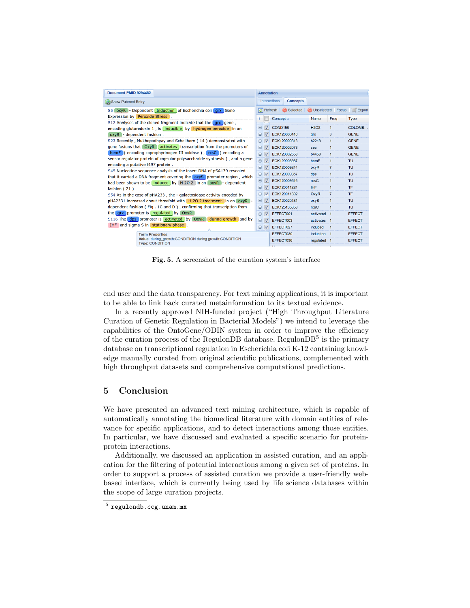| Document PMID 9294462                                                                                                                                                                                                                                                                                                                                                                                                                                                                                                                                                                                                                                                                                                                     |   |                         | <b>Annotation</b>                      |              |                |               |  |  |  |
|-------------------------------------------------------------------------------------------------------------------------------------------------------------------------------------------------------------------------------------------------------------------------------------------------------------------------------------------------------------------------------------------------------------------------------------------------------------------------------------------------------------------------------------------------------------------------------------------------------------------------------------------------------------------------------------------------------------------------------------------|---|-------------------------|----------------------------------------|--------------|----------------|---------------|--|--|--|
| Show Pubmed Entry                                                                                                                                                                                                                                                                                                                                                                                                                                                                                                                                                                                                                                                                                                                         |   |                         | <b>Interactions</b><br><b>Concepts</b> |              |                |               |  |  |  |
| S5 oxyR - Dependent Induction of Escherichia coli grx Gene                                                                                                                                                                                                                                                                                                                                                                                                                                                                                                                                                                                                                                                                                |   |                         | Selected<br>$\mathbf{E}$ Refresh       | Unselected   | Focus          | Export        |  |  |  |
| Expression by Peroxide Stress.                                                                                                                                                                                                                                                                                                                                                                                                                                                                                                                                                                                                                                                                                                            |   |                         | Concept $\triangle$                    | Name         | Freq           | <b>Type</b>   |  |  |  |
| S12 Analyses of the cloned fragment indicate that the grx gene,<br>encoding glutaredoxin 1, is inducible by hydrogen peroxide in an<br>oxyR - dependent fashion.<br>S23 Recently, Mukhopadhyay and Schellhorn (14) demonstrated with<br>gene fusions that OxyR activates transcription from the promoters of<br>hemF (encoding coprophyrinogen III oxidase), rcsC (encoding a<br>sensor regulator protein of capsular polysaccharide synthesis), and a gene<br>encoding a putative f497 protein.<br>S45 Nucleotide sequence analysis of the insert DNA of pSA139 revealed<br>that it carried a DNA fragment covering the oxyS promoter region, which<br>had been shown to be induced by H 2O 2 in an oxyR - dependent<br>fashion $(21)$ . |   |                         |                                        |              |                |               |  |  |  |
|                                                                                                                                                                                                                                                                                                                                                                                                                                                                                                                                                                                                                                                                                                                                           |   | $\overline{\mathsf{v}}$ | COND <sub>158</sub>                    | <b>H2O2</b>  | 1              | COLOMB        |  |  |  |
|                                                                                                                                                                                                                                                                                                                                                                                                                                                                                                                                                                                                                                                                                                                                           |   | V                       | ECK120000410                           | qrx          | 3              | <b>GENE</b>   |  |  |  |
|                                                                                                                                                                                                                                                                                                                                                                                                                                                                                                                                                                                                                                                                                                                                           |   | V                       | ECK120000813                           | b2218        | 1              | <b>GENE</b>   |  |  |  |
|                                                                                                                                                                                                                                                                                                                                                                                                                                                                                                                                                                                                                                                                                                                                           |   | $\overline{\mathsf{v}}$ | ECK120002078                           | sec          | 1              | <b>GENE</b>   |  |  |  |
|                                                                                                                                                                                                                                                                                                                                                                                                                                                                                                                                                                                                                                                                                                                                           |   | V                       | ECK120002558                           | <b>b4458</b> | 1              | <b>GENE</b>   |  |  |  |
|                                                                                                                                                                                                                                                                                                                                                                                                                                                                                                                                                                                                                                                                                                                                           |   | V                       | ECK120008987                           | hemF         | 1              | TU            |  |  |  |
|                                                                                                                                                                                                                                                                                                                                                                                                                                                                                                                                                                                                                                                                                                                                           |   | $\overline{\mathsf{v}}$ | ECK120009244                           | oxyR         | 7              | TU            |  |  |  |
|                                                                                                                                                                                                                                                                                                                                                                                                                                                                                                                                                                                                                                                                                                                                           |   | V                       | ECK120009367                           | dps          | 1              | TU            |  |  |  |
|                                                                                                                                                                                                                                                                                                                                                                                                                                                                                                                                                                                                                                                                                                                                           |   | V                       | ECK120009516                           | rcsC         | 1              | TU            |  |  |  |
|                                                                                                                                                                                                                                                                                                                                                                                                                                                                                                                                                                                                                                                                                                                                           |   |                         |                                        |              |                |               |  |  |  |
|                                                                                                                                                                                                                                                                                                                                                                                                                                                                                                                                                                                                                                                                                                                                           |   | V                       | ECK120011224                           | <b>IHF</b>   | 1              | <b>TF</b>     |  |  |  |
| S54 As in the case of pHA233, the - galactosidase activity encoded by                                                                                                                                                                                                                                                                                                                                                                                                                                                                                                                                                                                                                                                                     | ⊕ | V                       | ECK120011302                           | OxvR         | $\overline{7}$ | TF            |  |  |  |
| pHA2331 increased about threefold with H 2O 2 treatment in an oxyR -<br>dependent fashion (Fig. 1C and D), confirming that transcription from<br>the grx promoter is regulated by OxyR.<br>S116 The dps promoter is activated by OxyR during growth and by<br>IHF and sigma S in stationary phase.<br><b>Term Properties</b><br>Value: during growth:CONDITION during growth:CONDITION<br><b>Type: CONDITION</b>                                                                                                                                                                                                                                                                                                                          |   | $\triangledown$         | ECK120020431                           | oxyS         | 1              | <b>TU</b>     |  |  |  |
|                                                                                                                                                                                                                                                                                                                                                                                                                                                                                                                                                                                                                                                                                                                                           |   | V                       | ECK125135858                           | rcsC         | $\mathbf{1}$   | <b>TU</b>     |  |  |  |
|                                                                                                                                                                                                                                                                                                                                                                                                                                                                                                                                                                                                                                                                                                                                           |   | V                       | EFFECT001                              | activated 1  |                | <b>EFFECT</b> |  |  |  |
|                                                                                                                                                                                                                                                                                                                                                                                                                                                                                                                                                                                                                                                                                                                                           |   | $\triangledown$         | EFFECT003                              | activates 1  |                | <b>EFFECT</b> |  |  |  |
|                                                                                                                                                                                                                                                                                                                                                                                                                                                                                                                                                                                                                                                                                                                                           |   | V                       | EFFECT027                              | induced      | $\overline{1}$ | <b>EFFECT</b> |  |  |  |
|                                                                                                                                                                                                                                                                                                                                                                                                                                                                                                                                                                                                                                                                                                                                           |   |                         | EFFECT030                              | induction 1  |                | <b>EFFECT</b> |  |  |  |
|                                                                                                                                                                                                                                                                                                                                                                                                                                                                                                                                                                                                                                                                                                                                           |   |                         | EFFECT036                              | requiated 1  |                | <b>EFFECT</b> |  |  |  |
|                                                                                                                                                                                                                                                                                                                                                                                                                                                                                                                                                                                                                                                                                                                                           |   |                         | <b>A</b> 11                            |              |                |               |  |  |  |

Fig. 5. A screenshot of the curation system's interface

end user and the data transparency. For text mining applications, it is important to be able to link back curated metainformation to its textual evidence.

In a recently approved NIH-funded project ("High Throughput Literature Curation of Genetic Regulation in Bacterial Models") we intend to leverage the capabilities of the OntoGene/ODIN system in order to improve the efficiency of the curation process of the RegulonDB database. RegulonDB<sup>5</sup> is the primary database on transcriptional regulation in Escherichia coli K-12 containing knowledge manually curated from original scientific publications, complemented with high throughput datasets and comprehensive computational predictions.

## 5 Conclusion

We have presented an advanced text mining architecture, which is capable of automatically annotating the biomedical literature with domain entities of relevance for specific applications, and to detect interactions among those entities. In particular, we have discussed and evaluated a specific scenario for proteinprotein interactions.

Additionally, we discussed an application in assisted curation, and an application for the filtering of potential interactions among a given set of proteins. In order to support a process of assisted curation we provide a user-friendly webbased interface, which is currently being used by life science databases within the scope of large curation projects.

 $^5$  regulondb.ccg.unam.mx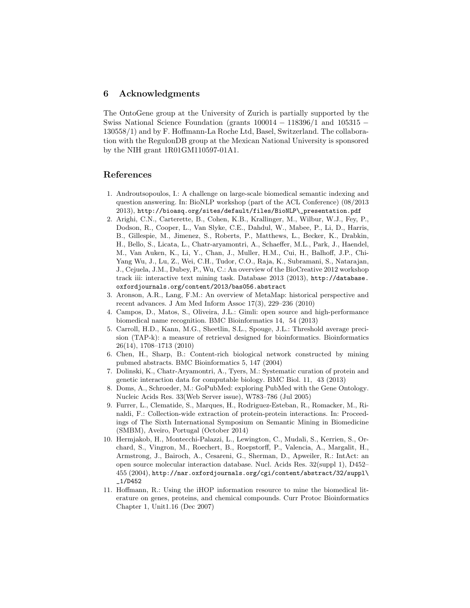### 6 Acknowledgments

The OntoGene group at the University of Zurich is partially supported by the Swiss National Science Foundation (grants  $100014 - 118396/1$  and  $105315 - 118396/1$ 130558/1) and by F. Hoffmann-La Roche Ltd, Basel, Switzerland. The collaboration with the RegulonDB group at the Mexican National University is sponsored by the NIH grant 1R01GM110597-01A1.

## References

- 1. Androutsopoulos, I.: A challenge on large-scale biomedical semantic indexing and question answering. In: BioNLP workshop (part of the ACL Conference) (08/2013 2013), http://bioasq.org/sites/default/files/BioNLP\\_presentation.pdf
- 2. Arighi, C.N., Carterette, B., Cohen, K.B., Krallinger, M., Wilbur, W.J., Fey, P., Dodson, R., Cooper, L., Van Slyke, C.E., Dahdul, W., Mabee, P., Li, D., Harris, B., Gillespie, M., Jimenez, S., Roberts, P., Matthews, L., Becker, K., Drabkin, H., Bello, S., Licata, L., Chatr-aryamontri, A., Schaeffer, M.L., Park, J., Haendel, M., Van Auken, K., Li, Y., Chan, J., Muller, H.M., Cui, H., Balhoff, J.P., Chi-Yang Wu, J., Lu, Z., Wei, C.H., Tudor, C.O., Raja, K., Subramani, S., Natarajan, J., Cejuela, J.M., Dubey, P., Wu, C.: An overview of the BioCreative 2012 workshop track iii: interactive text mining task. Database 2013 (2013), http://database. oxfordjournals.org/content/2013/bas056.abstract
- 3. Aronson, A.R., Lang, F.M.: An overview of MetaMap: historical perspective and recent advances. J Am Med Inform Assoc 17(3), 229–236 (2010)
- 4. Campos, D., Matos, S., Oliveira, J.L.: Gimli: open source and high-performance biomedical name recognition. BMC Bioinformatics 14, 54 (2013)
- 5. Carroll, H.D., Kann, M.G., Sheetlin, S.L., Spouge, J.L.: Threshold average precision (TAP-k): a measure of retrieval designed for bioinformatics. Bioinformatics 26(14), 1708–1713 (2010)
- 6. Chen, H., Sharp, B.: Content-rich biological network constructed by mining pubmed abstracts. BMC Bioinformatics 5, 147 (2004)
- 7. Dolinski, K., Chatr-Aryamontri, A., Tyers, M.: Systematic curation of protein and genetic interaction data for computable biology. BMC Biol. 11, 43 (2013)
- 8. Doms, A., Schroeder, M.: GoPubMed: exploring PubMed with the Gene Ontology. Nucleic Acids Res. 33(Web Server issue), W783–786 (Jul 2005)
- 9. Furrer, L., Clematide, S., Marques, H., Rodriguez-Esteban, R., Romacker, M., Rinaldi, F.: Collection-wide extraction of protein-protein interactions. In: Proceedings of The Sixth International Symposium on Semantic Mining in Biomedicine (SMBM), Aveiro, Portugal (October 2014)
- 10. Hermjakob, H., Montecchi-Palazzi, L., Lewington, C., Mudali, S., Kerrien, S., Orchard, S., Vingron, M., Roechert, B., Roepstorff, P., Valencia, A., Margalit, H., Armstrong, J., Bairoch, A., Cesareni, G., Sherman, D., Apweiler, R.: IntAct: an open source molecular interaction database. Nucl. Acids Res. 32(suppl 1), D452– 455 (2004), http://nar.oxfordjournals.org/cgi/content/abstract/32/suppl\ \_1/D452
- 11. Hoffmann, R.: Using the iHOP information resource to mine the biomedical literature on genes, proteins, and chemical compounds. Curr Protoc Bioinformatics Chapter 1, Unit1.16 (Dec 2007)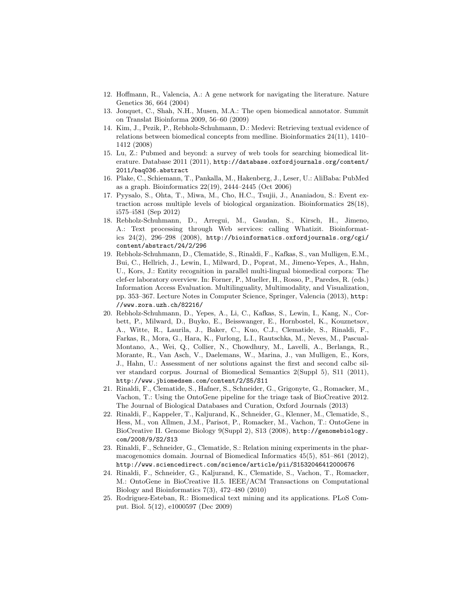- 12. Hoffmann, R., Valencia, A.: A gene network for navigating the literature. Nature Genetics 36, 664 (2004)
- 13. Jonquet, C., Shah, N.H., Musen, M.A.: The open biomedical annotator. Summit on Translat Bioinforma 2009, 56–60 (2009)
- 14. Kim, J., Pezik, P., Rebholz-Schuhmann, D.: Medevi: Retrieving textual evidence of relations between biomedical concepts from medline. Bioinformatics 24(11), 1410– 1412 (2008)
- 15. Lu, Z.: Pubmed and beyond: a survey of web tools for searching biomedical literature. Database 2011 (2011), http://database.oxfordjournals.org/content/ 2011/baq036.abstract
- 16. Plake, C., Schiemann, T., Pankalla, M., Hakenberg, J., Leser, U.: AliBaba: PubMed as a graph. Bioinformatics 22(19), 2444–2445 (Oct 2006)
- 17. Pyysalo, S., Ohta, T., Miwa, M., Cho, H.C., Tsujii, J., Ananiadou, S.: Event extraction across multiple levels of biological organization. Bioinformatics 28(18), i575–i581 (Sep 2012)
- 18. Rebholz-Schuhmann, D., Arregui, M., Gaudan, S., Kirsch, H., Jimeno, A.: Text processing through Web services: calling Whatizit. Bioinformatics 24(2), 296–298 (2008), http://bioinformatics.oxfordjournals.org/cgi/ content/abstract/24/2/296
- 19. Rebholz-Schuhmann, D., Clematide, S., Rinaldi, F., Kafkas, S., van Mulligen, E.M., Bui, C., Hellrich, J., Lewin, I., Milward, D., Poprat, M., Jimeno-Yepes, A., Hahn, U., Kors, J.: Entity recognition in parallel multi-lingual biomedical corpora: The clef-er laboratory overview. In: Forner, P., Mueller, H., Rosso, P., Paredes, R. (eds.) Information Access Evaluation. Multilinguality, Multimodality, and Visualization, pp. 353–367. Lecture Notes in Computer Science, Springer, Valencia (2013), http: //www.zora.uzh.ch/82216/
- 20. Rebholz-Schuhmann, D., Yepes, A., Li, C., Kafkas, S., Lewin, I., Kang, N., Corbett, P., Milward, D., Buyko, E., Beisswanger, E., Hornbostel, K., Kouznetsov, A., Witte, R., Laurila, J., Baker, C., Kuo, C.J., Clematide, S., Rinaldi, F., Farkas, R., Mora, G., Hara, K., Furlong, L.I., Rautschka, M., Neves, M., Pascual-Montano, A., Wei, Q., Collier, N., Chowdhury, M., Lavelli, A., Berlanga, R., Morante, R., Van Asch, V., Daelemans, W., Marina, J., van Mulligen, E., Kors, J., Hahn, U.: Assessment of ner solutions against the first and second calbc silver standard corpus. Journal of Biomedical Semantics 2(Suppl 5), S11 (2011), http://www.jbiomedsem.com/content/2/S5/S11
- 21. Rinaldi, F., Clematide, S., Hafner, S., Schneider, G., Grigonyte, G., Romacker, M., Vachon, T.: Using the OntoGene pipeline for the triage task of BioCreative 2012. The Journal of Biological Databases and Curation, Oxford Journals (2013)
- 22. Rinaldi, F., Kappeler, T., Kaljurand, K., Schneider, G., Klenner, M., Clematide, S., Hess, M., von Allmen, J.M., Parisot, P., Romacker, M., Vachon, T.: OntoGene in BioCreative II. Genome Biology 9(Suppl 2), S13 (2008), http://genomebiology. com/2008/9/S2/S13
- 23. Rinaldi, F., Schneider, G., Clematide, S.: Relation mining experiments in the pharmacogenomics domain. Journal of Biomedical Informatics 45(5), 851–861 (2012), http://www.sciencedirect.com/science/article/pii/S1532046412000676
- 24. Rinaldi, F., Schneider, G., Kaljurand, K., Clematide, S., Vachon, T., Romacker, M.: OntoGene in BioCreative II.5. IEEE/ACM Transactions on Computational Biology and Bioinformatics  $7(3)$ ,  $472-480$   $(2010)$
- 25. Rodriguez-Esteban, R.: Biomedical text mining and its applications. PLoS Comput. Biol. 5(12), e1000597 (Dec 2009)